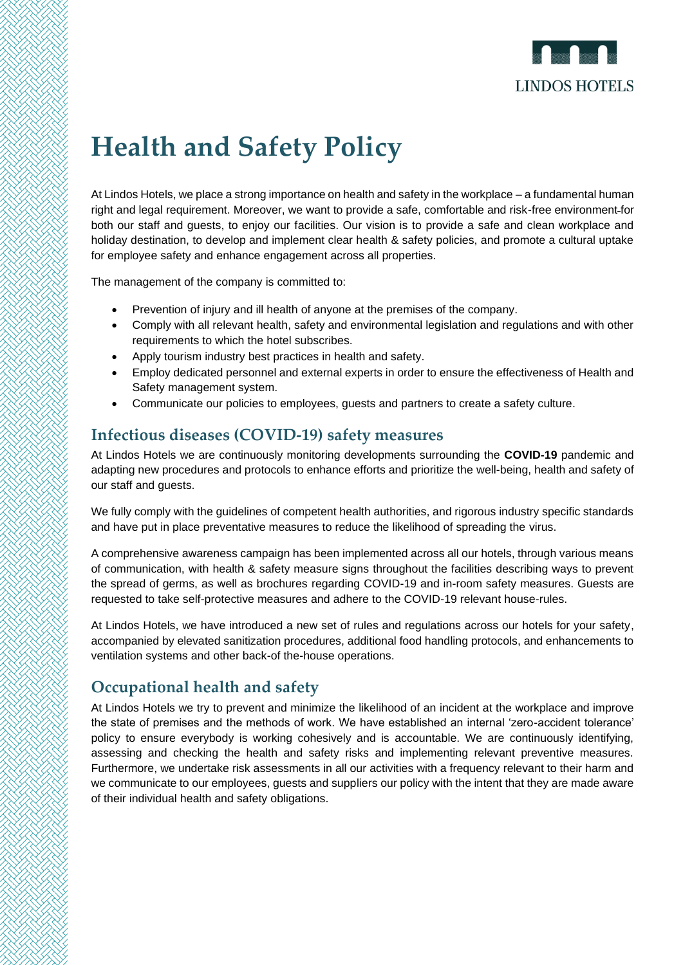

# **Health and Safety Policy**

At Lindos Hotels, we place a strong importance on health and safety in the workplace – a fundamental human right and legal requirement. Moreover, we want to provide a safe, comfortable and risk-free environment for both our staff and guests, to enjoy our facilities. Our vision is to provide a safe and clean workplace and holiday destination, to develop and implement clear health & safety policies, and promote a cultural uptake for employee safety and enhance engagement across all properties.

The management of the company is committed to:

- Prevention of injury and ill health of anyone at the premises of the company.
- Comply with all relevant health, safety and environmental legislation and regulations and with other requirements to which the hotel subscribes.
- Apply tourism industry best practices in health and safety.
- Employ dedicated personnel and external experts in order to ensure the effectiveness of Health and Safety management system.
- Communicate our policies to employees, guests and partners to create a safety culture.

### **Infectious diseases (COVID-19) safety measures**

At Lindos Hotels we are continuously monitoring developments surrounding the **COVID-19** pandemic and adapting new procedures and protocols to enhance efforts and prioritize the well-being, health and safety of our staff and guests.

We fully comply with the quidelines of competent health authorities, and rigorous industry specific standards and have put in place preventative measures to reduce the likelihood of spreading the virus.

A comprehensive awareness campaign has been implemented across all our hotels, through various means of communication, with health & safety measure signs throughout the facilities describing ways to prevent the spread of germs, as well as brochures regarding COVID-19 and in-room safety measures. Guests are requested to take self-protective measures and adhere to the COVID-19 relevant house-rules.

At Lindos Hotels, we have introduced a new set of rules and regulations across our hotels for your safety, accompanied by elevated sanitization procedures, additional food handling protocols, and enhancements to ventilation systems and other back-of the-house operations.

### **Occupational health and safety**

At Lindos Hotels we try to prevent and minimize the likelihood of an incident at the workplace and improve the state of premises and the methods of work. We have established an internal 'zero-accident tolerance' policy to ensure everybody is working cohesively and is accountable. We are continuously identifying, assessing and checking the health and safety risks and implementing relevant preventive measures. Furthermore, we undertake risk assessments in all our activities with a frequency relevant to their harm and we communicate to our employees, guests and suppliers our policy with the intent that they are made aware of their individual health and safety obligations.